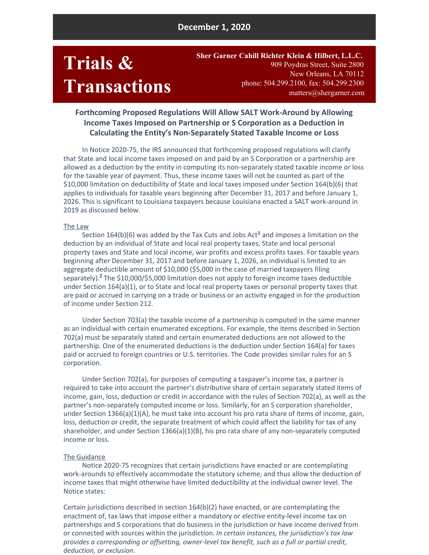## **December 1, 2020**

# **Trials & Transactions**

**Sher Garner Cahill Richter Klein & Hilbert, L.L.C.** 909 [Poydras](https://maps.google.com/?q=909+Poydras+Street,+Suite+2800,+New+Orleans,+LA+70112&entry=gmail&source=g) Street, Suite 2800 New [Orleans,](https://maps.google.com/?q=909+Poydras+Street,+Suite+2800,+New+Orleans,+LA+70112&entry=gmail&source=g) LA 70112 phone: [504.299.210](http:/)0, fax: 504.299.2300 [matters@shergarner.com](mailto:matters@shergarner.com)

## **Forthcoming Proposed Regulations Will Allow SALT Work-Around by Allowing Income Taxes Imposed on Partnership or S Corporation as a Deduction in Calculating the Entity's Non-Separately Stated Taxable Income or Loss**

In Notice 2020-75, the IRS announced that forthcoming proposed regulations will clarify that State and local income taxes imposed on and paid by an S Corporation or a partnership are allowed as a deduction by the entity in computing its non-separately stated taxable income or loss for the taxable year of payment. Thus, these income taxes will not be counted as part of the \$10,000 limitation on deductibility of State and local taxes imposed under Section 164(b)(6) that applies to individuals for taxable years beginning after December 31, 2017 and before January 1, 2026. This is significant to Louisiana taxpayers because Louisiana enacted a SALT work-around in 2019 as discussed below.

#### The Law

Section 164(b)(6) was added by the Tax Cuts and Jobs Act **<sup>1</sup>** and imposes a limitation on the deduction by an individual of State and local real property taxes, State and local personal property taxes and State and local income, war profits and excess profits taxes. For taxable years beginning after December 31, 2017 and before January 1, 2026, an individual is limited to an aggregate deductible amount of \$10,000 (\$5,000 in the case of married taxpayers filing separately). **<sup>2</sup>** The \$10,000/\$5,000 limitation does not apply to foreign income taxes deductible under Section 164(a)(1), or to State and local real property taxes or personal property taxes that are paid or accrued in carrying on a trade or business or an activity engaged in for the production of income under Section 212.

Under Section 703(a) the taxable income of a partnership is computed in the same manner as an individual with certain enumerated exceptions. For example, the items described in Section 702(a) must be separately stated and certain enumerated deductions are not allowed to the partnership. One of the enumerated deductions is the deduction under Section 164(a) for taxes paid or accrued to foreign countries or U.S. territories. The Code provides similar rules for an S corporation.

Under Section 702(a), for purposes of computing a taxpayer's income tax, a partner is required to take into account the partner's distributive share of certain separately stated items of income, gain, loss, deduction or credit in accordance with the rules of Section 702(a), as well as the partner's non-separately computed income or loss. Similarly, for an S corporation shareholder, under Section 1366(a)(1)(A), he must take into account his pro rata share of items of income, gain, loss, deduction or credit, the separate treatment of which could affect the liability for tax of any shareholder, and under Section 1366(a)(1)(B), his pro rata share of any non-separately computed income or loss.

#### The Guidance

Notice 2020-75 recognizes that certain jurisdictions have enacted or are contemplating work-arounds to effectively accommodate the statutory scheme, and thus allow the deduction of income taxes that might otherwise have limited deductibility at the individual owner level. The Notice states:

Certain jurisdictions described in section 164(b)(2) have enacted, or are contemplating the enactment of, tax laws that impose either a mandatory or *elective* entity-level income tax on partnerships and S corporations that do business in the jurisdiction or have income derived from or connected with sources within the jurisdiction. *In certain instances, the jurisdiction's tax law provides a corresponding or offsetting, owner-level tax benefit, such as a full or partial credit, deduction, or exclusion.*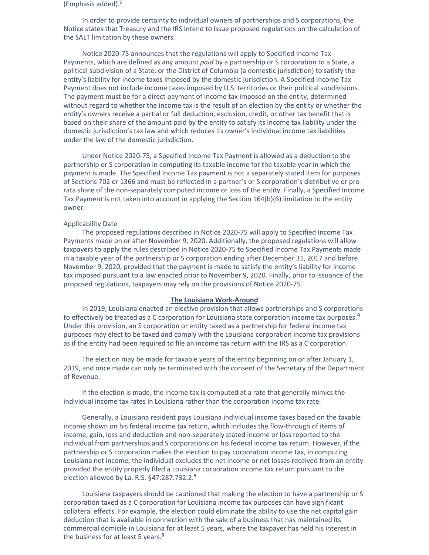(Emphasis added). 3

In order to provide certainty to individual owners of partnerships and S corporations, the Notice states that Treasury and the IRS intend to issue proposed regulations on the calculation of the SALT limitation by these owners.

Notice 2020-75 announces that the regulations will apply to Specified Income Tax Payments, which are defined as any amount *paid* by a partnership or S corporation to a State, a political subdivision of a State, or the District of Columbia (a domestic jurisdiction) to satisfy the entity's liability for income taxes imposed by the domestic jurisdiction. A Specified Income Tax Payment does not include income taxes imposed by U.S. territories or their political subdivisions. The payment must be for a direct payment of income tax imposed on the entity, determined without regard to whether the income tax is the result of an election by the entity or whether the entity's owners receive a partial or full deduction, exclusion, credit, or other tax benefit that is based on their share of the amount paid by the entity to satisfy its income tax liability under the domestic jurisdiction's tax law and which reduces its owner's individual income tax liabilities under the law of the domestic jurisdiction.

Under Notice 2020-75, a Specified Income Tax Payment is allowed as a deduction to the partnership or S corporation in computing its taxable income for the taxable year in which the payment is made. The Specified Income Tax payment is not a separately stated item for purposes of Sections 702 or 1366 and must be reflected in a partner's or S corporation's distributive or prorata share of the non-separately computed income or loss of the entity. Finally, a Specified Income Tax Payment is not taken into account in applying the Section 164(b)(6) limitation to the entity owner.

## Applicability Date

The proposed regulations described in Notice 2020-75 will apply to Specified Income Tax Payments made on or after November 9, 2020. Additionally, the proposed regulations will allow taxpayers to apply the rules described in Notice 2020-75 to Specified Income Tax Payments made in a taxable year of the partnership or S corporation ending after December 31, 2017 and before November 9, 2020, provided that the payment is made to satisfy the entity's liability for income tax imposed pursuant to a law enacted prior to November 9, 2020. Finally, prior to issuance of the proposed regulations, taxpayers may rely on the provisions of Notice 2020-75.

### **The Louisiana Work-Around**

In 2019, Louisiana enacted an elective provision that allows partnerships and S corporations to effectively be treated as a C corporation for Louisiana state corporation income tax purposes. **4** Under this provision, an S corporation or entity taxed as a partnership for federal income tax purposes may elect to be taxed and comply with the Louisiana corporation income tax provisions as if the entity had been required to file an income tax return with the IRS as a C corporation.

The election may be made for taxable years of the entity beginning on or after January 1, 2019, and once made can only be terminated with the consent of the Secretary of the Department of Revenue.

If the election is made, the income tax is computed at a rate that generally mimics the individual income tax rates in Louisiana rather than the corporation income tax rate.

Generally, a Louisiana resident pays Louisiana individual income taxes based on the taxable income shown on his federal income tax return, which includes the flow-through of items of income, gain, loss and deduction and non-separately stated income or loss reported to the individual from partnerships and S corporations on his federal income tax return. However, if the partnership or S corporation makes the election to pay corporation income tax, in computing Louisiana net income, the individual excludes the net income or net losses received from an entity provided the entity properly filed a Louisiana corporation income tax return pursuant to the election allowed by La. R.S. §47:287.732.2. **5**

Louisiana taxpayers should be cautioned that making the election to have a partnership or S corporation taxed as a C corporation for Louisiana income tax purposes can have significant collateral effects. For example, the election could eliminate the ability to use the net capital gain deduction that is available in connection with the sale of a business that has maintained its commercial domicile in Louisiana for at least 5 years, where the taxpayer has held his interest in the business for at least 5 years. **6**